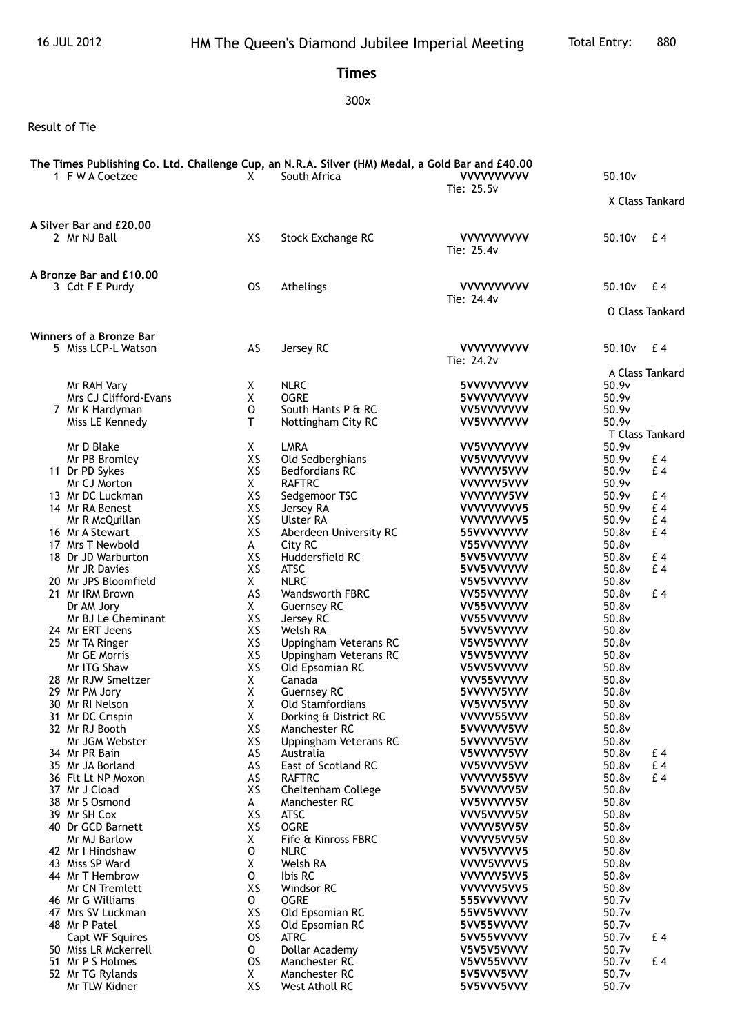## **Times**

## 300x

## Result of Tie

| 1 F W A Coetzee                                                               | X                         | The Times Publishing Co. Ltd. Challenge Cup, an N.R.A. Silver (HM) Medal, a Gold Bar and £40.00<br>South Africa | <b>VVVVVVVVVV</b><br>Tie: 25.5v                      | 50.10 <sub>v</sub>                                                |
|-------------------------------------------------------------------------------|---------------------------|-----------------------------------------------------------------------------------------------------------------|------------------------------------------------------|-------------------------------------------------------------------|
|                                                                               |                           |                                                                                                                 |                                                      | X Class Tankard                                                   |
| A Silver Bar and £20.00<br>2 Mr NJ Ball                                       | XS                        | Stock Exchange RC                                                                                               | <b>VVVVVVVVVV</b><br>Tie: 25.4v                      | 50.10 <sub>v</sub><br>£4                                          |
| A Bronze Bar and £10.00<br>3 Cdt F E Purdy                                    | <b>OS</b>                 | Athelings                                                                                                       | <b>VVVVVVVVVV</b><br>Tie: 24.4v                      | 50.10 <sub>v</sub><br>£4                                          |
|                                                                               |                           |                                                                                                                 |                                                      | O Class Tankard                                                   |
| <b>Winners of a Bronze Bar</b><br>5 Miss LCP-L Watson                         | AS                        | Jersey RC                                                                                                       | <b>VVVVVVVVVV</b><br>Tie: 24.2v                      | 50.10 <sub>v</sub><br>£4                                          |
| Mr RAH Vary<br>Mrs CJ Clifford-Evans<br>7 Mr K Hardyman<br>Miss LE Kennedy    | X.<br>Χ<br>O<br>т         | <b>NLRC</b><br><b>OGRE</b><br>South Hants P & RC<br>Nottingham City RC                                          | 5VVVVVVVVV<br>5VVVVVVVVV<br>VV5VVVVVVV<br>VV5VVVVVVV | A Class Tankard<br>50.9v<br>50.9v<br>50.9v<br>50.9v               |
| Mr D Blake<br>Mr PB Bromley<br>11 Dr PD Sykes                                 | X<br>XS<br>XS             | <b>LMRA</b><br>Old Sedberghians<br><b>Bedfordians RC</b>                                                        | VV5VVVVVVV<br>VV5VVVVVVV<br>VVVVVV5VVV               | T Class Tankard<br>50.9v<br>50.9v<br>£4<br>50.9v<br>£4            |
| Mr CJ Morton<br>13 Mr DC Luckman<br>14 Mr RA Benest                           | X<br>XS<br>XS             | <b>RAFTRC</b><br>Sedgemoor TSC<br>Jersey RA                                                                     | VVVVVV5VVV<br>VVVVVVV5VV<br>VVVVVVVV5                | 50.9v<br>50.9v<br>£4<br>50.9v<br>£4                               |
| Mr R McQuillan<br>16 Mr A Stewart<br>17 Mrs T Newbold<br>18 Dr JD Warburton   | XS<br>XS<br>A<br>XS       | Ulster RA<br>Aberdeen University RC<br>City RC<br>Huddersfield RC                                               | VVVVVVVV5<br>55VVVVVVVV<br>V55VVVVVVV<br>5VV5VVVVVV  | 50.9v<br>£4<br>50.8v<br>£4<br>50.8v<br>50.8v<br>£4                |
| Mr JR Davies<br>20 Mr JPS Bloomfield<br>21 Mr IRM Brown                       | XS<br>X<br>AS             | <b>ATSC</b><br><b>NLRC</b><br>Wandsworth FBRC                                                                   | 5VV5VVVVVV<br>V5V5VVVVVV<br>VV55VVVVVV               | 50.8v<br>£4<br>50.8v<br>50.8v<br>£4                               |
| Dr AM Jory<br>Mr BJ Le Cheminant<br>24 Mr ERT Jeens<br>25 Mr TA Ringer        | X<br>XS<br>XS<br>XS       | <b>Guernsey RC</b><br>Jersey RC<br>Welsh RA<br>Uppingham Veterans RC                                            | VV55VVVVVV<br>VV55VVVVVV<br>5VVV5VVVVV<br>V5VV5VVVVV | 50.8v<br>50.8v<br>50.8v<br>50.8v                                  |
| Mr GE Morris<br>Mr ITG Shaw<br>28 Mr RJW Smeltzer<br>29 Mr PM Jory            | XS<br>XS<br>X<br>Χ        | Uppingham Veterans RC<br>Old Epsomian RC<br>Canada<br><b>Guernsey RC</b>                                        | V5VV5VVVVV<br>V5VV5VVVVV<br>VVV55VVVVV<br>5VVVVV5VVV | 50.8v<br>50.8v<br>50.8v<br>50.8v                                  |
| 30 Mr RI Nelson<br>31 Mr DC Crispin<br>32 Mr RJ Booth                         | Χ<br>X<br>XS              | Old Stamfordians<br>Dorking & District RC<br>Manchester RC                                                      | VV5VVV5VVV<br>VVVVV55VVV<br>5VVVVVV5VV               | 50.8v<br>50.8v<br>50.8v                                           |
| Mr JGM Webster<br>34 Mr PR Bain<br>35 Mr JA Borland<br>36 Flt Lt NP Moxon     | XS<br>AS<br>AS<br>AS      | Uppingham Veterans RC<br>Australia<br>East of Scotland RC<br><b>RAFTRC</b>                                      | 5VVVVVV5VV<br>V5VVVVV5VV<br>VV5VVVV5VV<br>VVVVVV55VV | 50.8v<br>50.8v<br>£4<br>$E_4$<br>50.8v<br>50.8v<br>E <sub>4</sub> |
| 37 Mr J Cload<br>38 Mr S Osmond<br>39 Mr SH Cox                               | XS<br>A<br>XS             | Cheltenham College<br>Manchester RC<br><b>ATSC</b>                                                              | 5VVVVVVV5V<br>VV5VVVVV5V<br>VVV5VVVV5V               | 50.8v<br>50.8v<br>50.8v                                           |
| 40 Dr GCD Barnett<br>Mr MJ Barlow<br>42 Mr I Hindshaw<br>43 Miss SP Ward      | XS<br>X<br>o<br>Χ         | <b>OGRE</b><br>Fife & Kinross FBRC<br><b>NLRC</b><br>Welsh RA                                                   | VVVVV5VV5V<br>VVVVV5VV5V<br>VVV5VVVVV5<br>VVVV5VVVV5 | 50.8v<br>50.8v<br>50.8v<br>50.8v                                  |
| 44 Mr T Hembrow<br>Mr CN Tremlett<br>46 Mr G Williams                         | 0<br>XS<br>0              | Ibis RC<br>Windsor RC<br><b>OGRE</b>                                                                            | VVVVV5VV5<br>VVVVVV5VV5<br>555VVVVVVV                | 50.8v<br>50.8v<br>50.7v                                           |
| 47 Mrs SV Luckman<br>48 Mr P Patel<br>Capt WF Squires                         | XS<br>XS<br><b>OS</b>     | Old Epsomian RC<br>Old Epsomian RC<br><b>ATRC</b>                                                               | 55VV5VVVVV<br>5VV55VVVVV<br>5VV55VVVVV               | 50.7v<br>50.7v<br>50.7v<br>£4                                     |
| 50 Miss LR Mckerrell<br>51 Mr P S Holmes<br>52 Mr TG Rylands<br>Mr TLW Kidner | 0<br><b>OS</b><br>X<br>XS | Dollar Academy<br>Manchester RC<br>Manchester RC<br>West Atholl RC                                              | V5V5V5VVVV<br>V5VV55VVVV<br>5V5VVV5VVV<br>5V5VVV5VVV | 50.7v<br>50.7v<br>£4<br>50.7v<br>50.7v                            |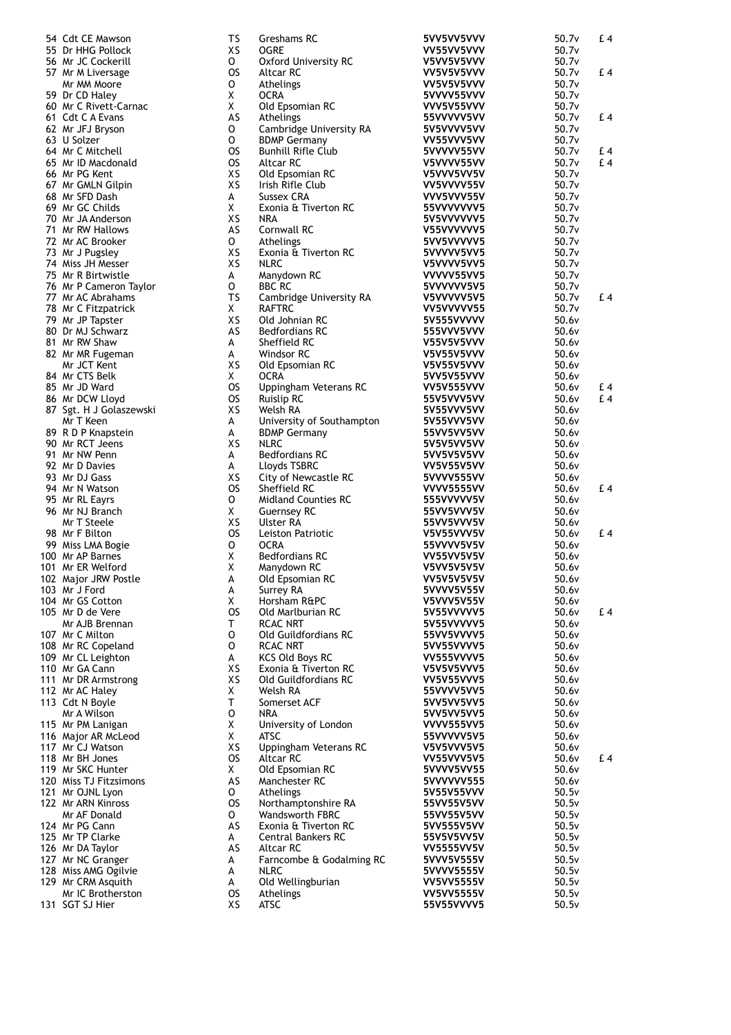| 54 Cdt CE Mawson                           | TS        | Greshams RC                          | 5VV5VV5VVV               | 50.7v             | £4  |
|--------------------------------------------|-----------|--------------------------------------|--------------------------|-------------------|-----|
| 55 Dr HHG Pollock                          | XS        | <b>OGRE</b>                          | VV55VV5VVV               | 50.7v             |     |
| 56 Mr JC Cockerill                         | 0         | <b>Oxford University RC</b>          | V5VV5V5VVV               | 50.7v             |     |
| 57 Mr M Liversage                          | <b>OS</b> | Altcar RC                            | VV5V5V5VVV               | 50.7v             | £4  |
| Mr MM Moore                                | 0         | Athelings                            | VV5V5V5VVV               | 50.7v             |     |
| 59 Dr CD Haley                             | Χ<br>X    | <b>OCRA</b>                          | 5VVVV55VVV               | 50.7v             |     |
| 60 Mr C Rivett-Carnac<br>61 Cdt C A Evans  | AS        | Old Epsomian RC<br>Athelings         | VVV5V55VVV               | 50.7v<br>50.7v    | £4  |
| 62 Mr JFJ Bryson                           | 0         | Cambridge University RA              | 55VVVVV5VV<br>5V5VVVV5VV | 50.7v             |     |
| 63 U Solzer                                | o         | <b>BDMP Germany</b>                  | VV55VVV5VV               | 50.7v             |     |
| 64 Mr C Mitchell                           | <b>OS</b> | <b>Bunhill Rifle Club</b>            | 5VVVVV55VV               | 50.7v             | £ 4 |
| 65 Mr ID Macdonald                         | <b>OS</b> | Altcar RC                            | V5VVVV55VV               | 50.7v             | £4  |
| 66 Mr PG Kent                              | XS        | Old Epsomian RC                      | V5VVV5VV5V               | 50.7v             |     |
| 67 Mr GMLN Gilpin                          | XS        | Irish Rifle Club                     | VV5VVVV55V               | 50.7v             |     |
| 68 Mr SFD Dash                             | А         | Sussex CRA                           | VVV5VVV55V               | 50.7v             |     |
| 69 Mr GC Childs                            | X         | Exonia & Tiverton RC                 | 55VVVVVVV5               | 50.7v             |     |
| 70 Mr JA Anderson                          | XS        | NRA                                  | 5V5VVVVVV5               | 50.7 <sub>v</sub> |     |
| 71 Mr RW Hallows                           | AS        | Cornwall RC                          | V55VVVVVV5               | 50.7v             |     |
| 72 Mr AC Brooker                           | 0         | Athelings                            | 5VV5VVVVV5               | 50.7v             |     |
| 73 Mr J Pugsley                            | XS        | Exonia & Tiverton RC                 | 5VVVVV5VV5               | 50.7v             |     |
| 74 Miss JH Messer                          | XS        | <b>NLRC</b>                          | V5VVVV5VV5               | 50.7v             |     |
| 75 Mr R Birtwistle                         | A         | Manydown RC                          | VVVVV55VV5               | 50.7v             |     |
| 76 Mr P Cameron Taylor                     | 0         | <b>BBC RC</b>                        | 5VVVVVV5V5               | 50.7v             |     |
| 77 Mr AC Abrahams                          | TS        | Cambridge University RA              | V5VVVVV5V5               | 50.7v             | £4  |
| 78 Mr C Fitzpatrick                        | X.        | <b>RAFTRC</b>                        | VV5VVVVV55               | 50.7v             |     |
| 79 Mr JP Tapster                           | XS        | Old Johnian RC                       | 5V555VVVVV               | 50.6v             |     |
| 80 Dr MJ Schwarz                           | AS        | <b>Bedfordians RC</b>                | 555VVV5VVV               | 50.6v             |     |
| 81 Mr RW Shaw                              | A         | Sheffield RC                         | V55V5V5VVV               | 50.6v             |     |
| 82 Mr MR Fugeman                           | A         | Windsor RC                           | V5V55V5VVV               | 50.6v             |     |
| Mr JCT Kent                                | XS        | Old Epsomian RC                      | V5V55V5VVV               | 50.6v             |     |
| 84 Mr CTS Belk                             | X         | <b>OCRA</b>                          | 5VV5V55VVV               | 50.6v             |     |
| 85 Mr JD Ward                              | <b>OS</b> | Uppingham Veterans RC                | <b>VV5V555VVV</b>        | 50.6v             | £ 4 |
| 86 Mr DCW Lloyd                            | <b>OS</b> | Ruislip RC                           | 55V5VVV5VV               | 50.6v             | £4  |
| 87 Sgt. H J Golaszewski                    | XS        | Welsh RA                             | 5V55VVV5VV               | 50.6v             |     |
| Mr T Keen                                  | A         | University of Southampton            | 5V55VVV5VV               | 50.6v             |     |
| 89 R D P Knapstein                         | А         | <b>BDMP Germany</b>                  | 55VV5VV5VV               | 50.6v             |     |
| 90 Mr RCT Jeens                            | XS        | <b>NLRC</b>                          | 5V5V5VV5VV               | 50.6v             |     |
| 91 Mr NW Penn                              | A         | <b>Bedfordians RC</b>                | 5VV5V5V5VV               | 50.6v             |     |
| 92 Mr D Davies                             | A<br>XS   | Lloyds TSBRC                         | <b>VV5V55V5VV</b>        | 50.6v             |     |
| 93 Mr DJ Gass                              | <b>OS</b> | City of Newcastle RC<br>Sheffield RC | 5VVVV555VV               | 50.6v<br>50.6v    | £4  |
| 94 Mr N Watson                             | 0         | <b>Midland Counties RC</b>           | VVVV5555VV               | 50.6v             |     |
| 95 Mr RL Eayrs<br>96 Mr NJ Branch          | X         | <b>Guernsey RC</b>                   | 555VVVVV5V<br>55VV5VVV5V | 50.6v             |     |
| Mr T Steele                                | XS        | Ulster RA                            | 55VV5VVV5V               | 50.6v             |     |
| 98 Mr F Bilton                             | <b>OS</b> | Leiston Patriotic                    | V5V55VVV5V               | 50.6v             | £4  |
| 99 Miss LMA Bogie                          | 0         | <b>OCRA</b>                          | 55VVVV5V5V               | 50.6v             |     |
| 100 Mr AP Barnes                           | Χ         | <b>Bedfordians RC</b>                | <b>VV55VV5V5V</b>        | 50.6v             |     |
| 101 Mr ER Welford                          | X         | Manydown RC                          | V5VV5V5V5V               | 50.6v             |     |
| 102 Major JRW Postle                       | A         | Old Epsomian RC                      | <b>VV5V5V5V5V</b>        | 50.6v             |     |
| 103 Mr J Ford                              | А         | Surrey RA                            | 5VVVV5V55V               | 50.6v             |     |
| 104 Mr GS Cotton                           | X         | Horsham R&PC                         | V5VVV5V55V               | 50.6v             |     |
| 105 Mr D de Vere                           | <b>OS</b> | Old Marlburian RC                    | 5V55VVVVV5               | 50.6v             | £ 4 |
| Mr AJB Brennan                             | т         | RCAC NRT                             | 5V55VVVVV5               | 50.6v             |     |
| 107 Mr C Milton                            | O         | Old Guildfordians RC                 | 55VV5VVVV5               | 50.6v             |     |
| 108 Mr RC Copeland                         | 0         | <b>RCAC NRT</b>                      | 5VV55VVVV5               | 50.6v             |     |
| 109 Mr CL Leighton                         | A         | <b>KCS Old Boys RC</b>               | VV555VVVV5               | 50.6v             |     |
| 110 Mr GA Cann                             | XS        | Exonia & Tiverton RC                 | V5V5V5VVV5               | 50.6v             |     |
| 111 Mr DR Armstrong                        | XS        | Old Guildfordians RC                 | VV5V55VVV5               | 50.6v             |     |
| 112 Mr AC Haley                            | Χ         | Welsh RA                             | 55VVVV5VV5               | 50.6v             |     |
| 113 Cdt N Boyle                            | т         | Somerset ACF                         | 5VV5VV5VV5               | 50.6v             |     |
| Mr A Wilson                                | O         | NRA                                  | 5VV5VV5VV5               | 50.6v             |     |
| 115 Mr PM Lanigan                          | X         | University of London                 | <b>VVVV555VV5</b>        | 50.6v             |     |
| 116 Major AR McLeod                        | Χ         | ATSC                                 | 55VVVVV5V5               | 50.6v             |     |
| 117 Mr CJ Watson                           | XS        | Uppingham Veterans RC                | V5V5VVV5V5               | 50.6v             |     |
| 118 Mr BH Jones                            | os        | Altcar RC                            | VV55VVV5V5               | 50.6v             | £4  |
| 119 Mr SKC Hunter                          | X         | Old Epsomian RC                      | 5VVVV5VV55               | 50.6v             |     |
| 120 Miss TJ Fitzsimons<br>121 Mr OJNL Lyon | AS<br>0   | Manchester RC<br>Athelings           | 5VVVVVV555               | 50.6v<br>50.5v    |     |
| 122 Mr ARN Kinross                         | <b>OS</b> | Northamptonshire RA                  | 5V55V55VVV               | 50.5v             |     |
| Mr AF Donald                               | 0         | Wandsworth FBRC                      | 55VV55V5VV<br>55VV55V5VV | 50.5v             |     |
| 124 Mr PG Cann                             | AS        | Exonia & Tiverton RC                 | 5VV555V5VV               | 50.5v             |     |
| 125 Mr TP Clarke                           | A         | <b>Central Bankers RC</b>            | 55V5V5VV5V               | 50.5v             |     |
| 126 Mr DA Taylor                           | AS        | Altcar RC                            | <b>VV5555VV5V</b>        | 50.5v             |     |
| 127 Mr NC Granger                          | А         | Farncombe & Godalming RC             | 5VVV5V555V               | 50.5v             |     |
| 128 Miss AMG Ogilvie                       | А         | <b>NLRC</b>                          | 5VVVV5555V               | 50.5v             |     |
| 129 Mr CRM Asquith                         | А         | Old Wellingburian                    | <b>VV5VV5555V</b>        | 50.5v             |     |
| Mr IC Brotherston                          | os        | Athelings                            | <b>VV5VV5555V</b>        | 50.5v             |     |
| 131 SGT SJ Hier                            | XS        | <b>ATSC</b>                          | 55V55VVVV5               | 50.5v             |     |
|                                            |           |                                      |                          |                   |     |